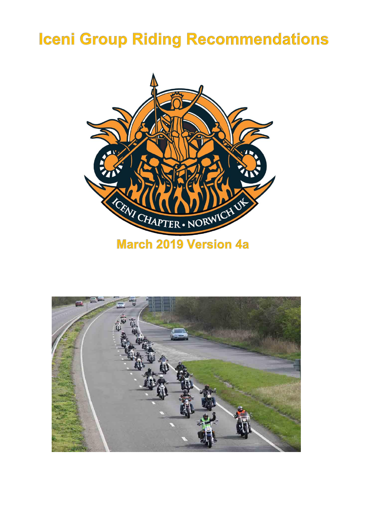# **Iceni Group Riding Recommendations**



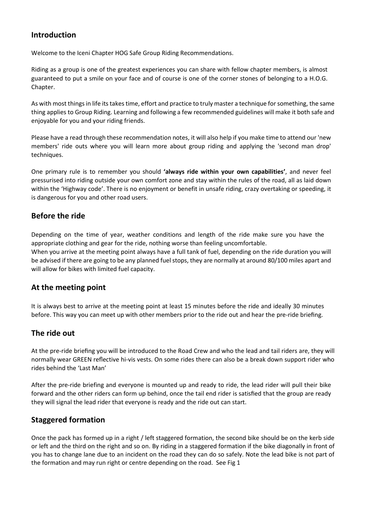# **Introduction**

Welcome to the Iceni Chapter HOG Safe Group Riding Recommendations.

Riding as a group is one of the greatest experiences you can share with fellow chapter members, is almost guaranteed to put a smile on your face and of course is one of the corner stones of belonging to a H.O.G. Chapter.

As with most things in life its takes time, effort and practice to truly master a technique for something, the same thing applies to Group Riding. Learning and following a few recommended guidelines will make it both safe and enjoyable for you and your riding friends.

Please have a read through these recommendation notes, it will also help if you make time to attend our 'new members' ride outs where you will learn more about group riding and applying the 'second man drop' techniques.

One primary rule is to remember you should **'always ride within your own capabilities'**, and never feel pressurised into riding outside your own comfort zone and stay within the rules of the road, all as laid down within the 'Highway code'. There is no enjoyment or benefit in unsafe riding, crazy overtaking or speeding, it is dangerous for you and other road users.

## **Before the ride**

Depending on the time of year, weather conditions and length of the ride make sure you have the appropriate clothing and gear for the ride, nothing worse than feeling uncomfortable. When you arrive at the meeting point always have a full tank of fuel, depending on the ride duration you will be advised if there are going to be any planned fuel stops, they are normally at around 80/100 miles apart and will allow for bikes with limited fuel capacity.

## **At the meeting point**

It is always best to arrive at the meeting point at least 15 minutes before the ride and ideally 30 minutes before. This way you can meet up with other members prior to the ride out and hear the pre-ride briefing.

## **The ride out**

At the pre-ride briefing you will be introduced to the Road Crew and who the lead and tail riders are, they will normally wear GREEN reflective hi-vis vests. On some rides there can also be a break down support rider who rides behind the 'Last Man'

After the pre-ride briefing and everyone is mounted up and ready to ride, the lead rider will pull their bike forward and the other riders can form up behind, once the tail end rider is satisfied that the group are ready they will signal the lead rider that everyone is ready and the ride out can start.

## **Staggered formation**

Once the pack has formed up in a right / left staggered formation, the second bike should be on the kerb side or left and the third on the right and so on. By riding in a staggered formation if the bike diagonally in front of you has to change lane due to an incident on the road they can do so safely. Note the lead bike is not part of the formation and may run right or centre depending on the road. See Fig 1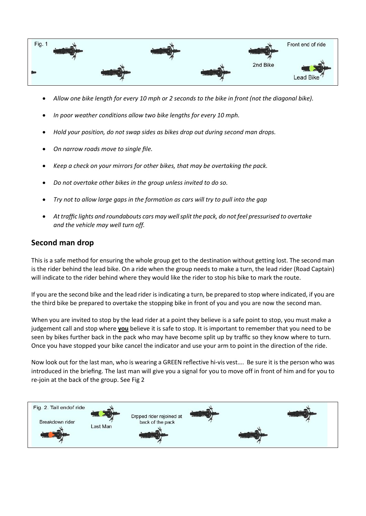

- *Allow one bike length for every 10 mph or 2 seconds to the bike in front (not the diagonal bike).*
- *In poor weather conditions allow two bike lengths for every 10 mph.*
- *Hold your position, do not swap sides as bikes drop out during second man drops.*
- *On narrow roads move to single file.*
- *Keep a check on your mirrors for other bikes, that may be overtaking the pack.*
- *Do not overtake other bikes in the group unless invited to do so.*
- *Try not to allow large gaps in the formation as cars will try to pull into the gap*
- *At traffic lights and roundabouts cars may well split the pack, do not feel pressurised to overtake and the vehicle may well turn off.*

## **Second man drop**

This is a safe method for ensuring the whole group get to the destination without getting lost. The second man is the rider behind the lead bike. On a ride when the group needs to make a turn, the lead rider (Road Captain) will indicate to the rider behind where they would like the rider to stop his bike to mark the route.

If you are the second bike and the lead rider is indicating a turn, be prepared to stop where indicated, if you are the third bike be prepared to overtake the stopping bike in front of you and you are now the second man.

When you are invited to stop by the lead rider at a point they believe is a safe point to stop, you must make a judgement call and stop where **you** believe it is safe to stop. It is important to remember that you need to be seen by bikes further back in the pack who may have become split up by traffic so they know where to turn. Once you have stopped your bike cancel the indicator and use your arm to point in the direction of the ride.

Now look out for the last man, who is wearing a GREEN reflective hi-vis vest…. Be sure it is the person who was introduced in the briefing. The last man will give you a signal for you to move off in front of him and for you to re-join at the back of the group. See Fig 2

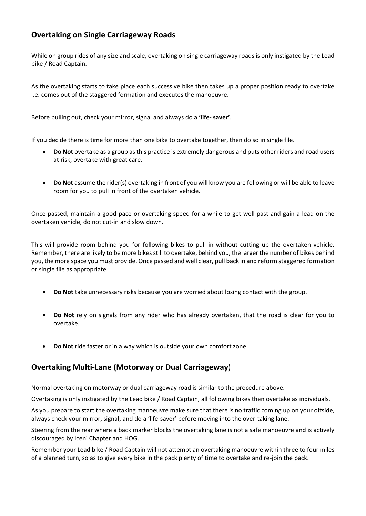# **Overtaking on Single Carriageway Roads**

While on group rides of any size and scale, overtaking on single carriageway roads is only instigated by the Lead bike / Road Captain.

As the overtaking starts to take place each successive bike then takes up a proper position ready to overtake i.e. comes out of the staggered formation and executes the manoeuvre.

Before pulling out, check your mirror, signal and always do a **'life- saver'**.

If you decide there is time for more than one bike to overtake together, then do so in single file.

- **Do Not** overtake as a group as this practice is extremely dangerous and puts other riders and road users at risk, overtake with great care.
- **Do Not** assume the rider(s) overtaking in front of you will know you are following or will be able to leave room for you to pull in front of the overtaken vehicle.

Once passed, maintain a good pace or overtaking speed for a while to get well past and gain a lead on the overtaken vehicle, do not cut-in and slow down.

This will provide room behind you for following bikes to pull in without cutting up the overtaken vehicle. Remember, there are likely to be more bikes still to overtake, behind you, the larger the number of bikes behind you, the more space you must provide. Once passed and well clear, pull back in and reform staggered formation or single file as appropriate.

- **Do Not** take unnecessary risks because you are worried about losing contact with the group.
- **Do Not** rely on signals from any rider who has already overtaken, that the road is clear for you to overtake.
- **Do Not** ride faster or in a way which is outside your own comfort zone.

# **Overtaking Multi-Lane (Motorway or Dual Carriageway**)

Normal overtaking on motorway or dual carriageway road is similar to the procedure above.

Overtaking is only instigated by the Lead bike / Road Captain, all following bikes then overtake as individuals.

As you prepare to start the overtaking manoeuvre make sure that there is no traffic coming up on your offside, always check your mirror, signal, and do a 'life-saver' before moving into the over-taking lane.

Steering from the rear where a back marker blocks the overtaking lane is not a safe manoeuvre and is actively discouraged by Iceni Chapter and HOG.

Remember your Lead bike / Road Captain will not attempt an overtaking manoeuvre within three to four miles of a planned turn, so as to give every bike in the pack plenty of time to overtake and re-join the pack.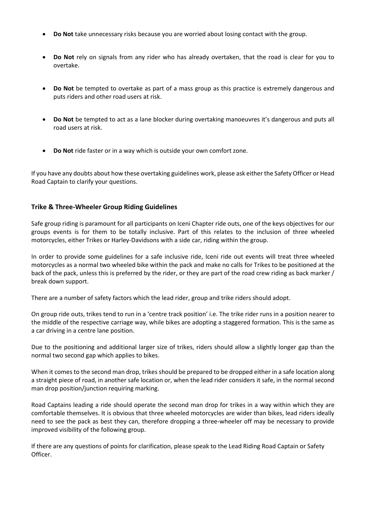- **Do Not** take unnecessary risks because you are worried about losing contact with the group.
- **Do Not** rely on signals from any rider who has already overtaken, that the road is clear for you to overtake.
- **Do Not** be tempted to overtake as part of a mass group as this practice is extremely dangerous and puts riders and other road users at risk.
- **Do Not** be tempted to act as a lane blocker during overtaking manoeuvres it's dangerous and puts all road users at risk.
- **Do Not** ride faster or in a way which is outside your own comfort zone.

If you have any doubts about how these overtaking guidelines work, please ask either the Safety Officer or Head Road Captain to clarify your questions.

#### **Trike & Three-Wheeler Group Riding Guidelines**

Safe group riding is paramount for all participants on Iceni Chapter ride outs, one of the keys objectives for our groups events is for them to be totally inclusive. Part of this relates to the inclusion of three wheeled motorcycles, either Trikes or Harley-Davidsons with a side car, riding within the group.

In order to provide some guidelines for a safe inclusive ride, Iceni ride out events will treat three wheeled motorcycles as a normal two wheeled bike within the pack and make no calls for Trikes to be positioned at the back of the pack, unless this is preferred by the rider, or they are part of the road crew riding as back marker / break down support.

There are a number of safety factors which the lead rider, group and trike riders should adopt.

On group ride outs, trikes tend to run in a 'centre track position' i.e. The trike rider runs in a position nearer to the middle of the respective carriage way, while bikes are adopting a staggered formation. This is the same as a car driving in a centre lane position.

Due to the positioning and additional larger size of trikes, riders should allow a slightly longer gap than the normal two second gap which applies to bikes.

When it comes to the second man drop, trikes should be prepared to be dropped either in a safe location along a straight piece of road, in another safe location or, when the lead rider considers it safe, in the normal second man drop position/junction requiring marking.

Road Captains leading a ride should operate the second man drop for trikes in a way within which they are comfortable themselves. It is obvious that three wheeled motorcycles are wider than bikes, lead riders ideally need to see the pack as best they can, therefore dropping a three-wheeler off may be necessary to provide improved visibility of the following group.

If there are any questions of points for clarification, please speak to the Lead Riding Road Captain or Safety Officer.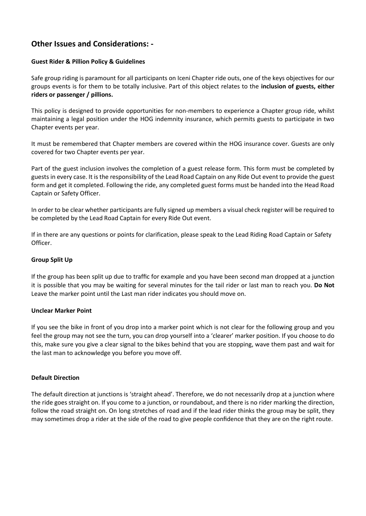# **Other Issues and Considerations: -**

#### **Guest Rider & Pillion Policy & Guidelines**

Safe group riding is paramount for all participants on Iceni Chapter ride outs, one of the keys objectives for our groups events is for them to be totally inclusive. Part of this object relates to the **inclusion of guests, either riders or passenger / pillions.**

This policy is designed to provide opportunities for non-members to experience a Chapter group ride, whilst maintaining a legal position under the HOG indemnity insurance, which permits guests to participate in two Chapter events per year.

It must be remembered that Chapter members are covered within the HOG insurance cover. Guests are only covered for two Chapter events per year.

Part of the guest inclusion involves the completion of a guest release form. This form must be completed by guests in every case. It is the responsibility of the Lead Road Captain on any Ride Out event to provide the guest form and get it completed. Following the ride, any completed guest forms must be handed into the Head Road Captain or Safety Officer.

In order to be clear whether participants are fully signed up members a visual check register will be required to be completed by the Lead Road Captain for every Ride Out event.

If in there are any questions or points for clarification, please speak to the Lead Riding Road Captain or Safety Officer.

#### **Group Split Up**

If the group has been split up due to traffic for example and you have been second man dropped at a junction it is possible that you may be waiting for several minutes for the tail rider or last man to reach you. **Do Not** Leave the marker point until the Last man rider indicates you should move on.

#### **Unclear Marker Point**

If you see the bike in front of you drop into a marker point which is not clear for the following group and you feel the group may not see the turn, you can drop yourself into a 'clearer' marker position. If you choose to do this, make sure you give a clear signal to the bikes behind that you are stopping, wave them past and wait for the last man to acknowledge you before you move off.

#### **Default Direction**

The default direction at junctions is 'straight ahead'. Therefore, we do not necessarily drop at a junction where the ride goes straight on. If you come to a junction, or roundabout, and there is no rider marking the direction, follow the road straight on. On long stretches of road and if the lead rider thinks the group may be split, they may sometimes drop a rider at the side of the road to give people confidence that they are on the right route.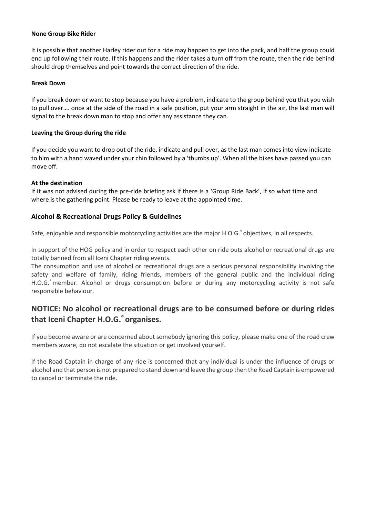#### **None Group Bike Rider**

It is possible that another Harley rider out for a ride may happen to get into the pack, and half the group could end up following their route. If this happens and the rider takes a turn off from the route, then the ride behind should drop themselves and point towards the correct direction of the ride.

#### **Break Down**

If you break down or want to stop because you have a problem, indicate to the group behind you that you wish to pull over…. once at the side of the road in a safe position, put your arm straight in the air, the last man will signal to the break down man to stop and offer any assistance they can.

#### **Leaving the Group during the ride**

If you decide you want to drop out of the ride, indicate and pull over, as the last man comes into view indicate to him with a hand waved under your chin followed by a 'thumbs up'. When all the bikes have passed you can move off.

#### **At the destination**

If it was not advised during the pre-ride briefing ask if there is a 'Group Ride Back', if so what time and where is the gathering point. Please be ready to leave at the appointed time.

#### **Alcohol & Recreational Drugs Policy & Guidelines**

Safe, enjoyable and responsible motorcycling activities are the major H.O.G.<sup>®</sup> objectives, in all respects.

In support of the HOG policy and in order to respect each other on ride outs alcohol or recreational drugs are totally banned from all Iceni Chapter riding events.

The consumption and use of alcohol or recreational drugs are a serious personal responsibility involving the safety and welfare of family, riding friends, members of the general public and the individual riding H.O.G.<sup>®</sup> member. Alcohol or drugs consumption before or during any motorcycling activity is not safe responsible behaviour.

# **NOTICE: No alcohol or recreational drugs are to be consumed before or during rides that Iceni Chapter H.O.G.® organises.**

If you become aware or are concerned about somebody ignoring this policy, please make one of the road crew members aware, do not escalate the situation or get involved yourself.

If the Road Captain in charge of any ride is concerned that any individual is under the influence of drugs or alcohol and that person is not prepared to stand down and leave the group then the Road Captain is empowered to cancel or terminate the ride.